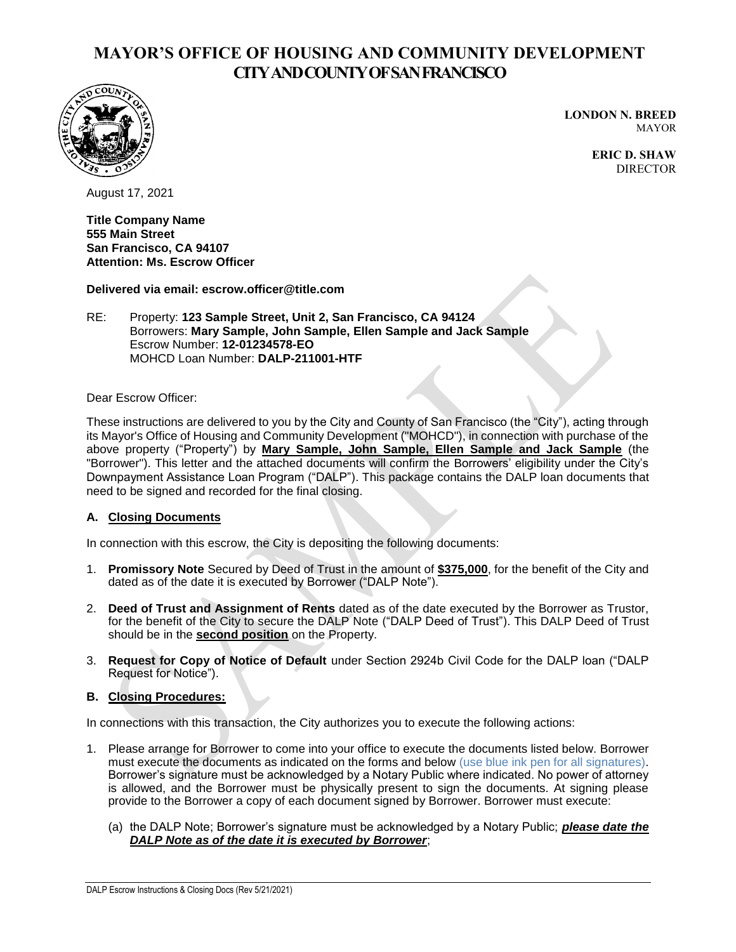# **MAYOR'S OFFICE OF HOUSING AND COMMUNITY DEVELOPMENT CITY AND COUNTY OF SAN FRANCISCO**



**LONDON N. BREED** MAYOR

> **ERIC D. SHAW** DIRECTOR

August 17, 2021

**Title Company Name 555 Main Street San Francisco, CA 94107 Attention: Ms. Escrow Officer** 

**Delivered via email: escrow.officer@title.com**

RE: Property: **123 Sample Street, Unit 2, San Francisco, CA 94124** Borrowers: **Mary Sample, John Sample, Ellen Sample and Jack Sample**  Escrow Number: **12-01234578-EO** MOHCD Loan Number: **DALP-211001-HTF**

Dear Escrow Officer:

These instructions are delivered to you by the City and County of San Francisco (the "City"), acting through its Mayor's Office of Housing and Community Development ("MOHCD"), in connection with purchase of the above property ("Property") by **Mary Sample, John Sample, Ellen Sample and Jack Sample** (the "Borrower"). This letter and the attached documents will confirm the Borrowers' eligibility under the City's Downpayment Assistance Loan Program ("DALP"). This package contains the DALP loan documents that need to be signed and recorded for the final closing.

#### **A. Closing Documents**

In connection with this escrow, the City is depositing the following documents:

- 1. **Promissory Note** Secured by Deed of Trust in the amount of **\$375,000**, for the benefit of the City and dated as of the date it is executed by Borrower ("DALP Note").
- 2. **Deed of Trust and Assignment of Rents** dated as of the date executed by the Borrower as Trustor, for the benefit of the City to secure the DALP Note ("DALP Deed of Trust"). This DALP Deed of Trust should be in the **second position** on the Property.
- 3. **Request for Copy of Notice of Default** under Section 2924b Civil Code for the DALP loan ("DALP Request for Notice").

#### **B. Closing Procedures:**

In connections with this transaction, the City authorizes you to execute the following actions:

- 1. Please arrange for Borrower to come into your office to execute the documents listed below. Borrower must execute the documents as indicated on the forms and below (use blue ink pen for all signatures). Borrower's signature must be acknowledged by a Notary Public where indicated. No power of attorney is allowed, and the Borrower must be physically present to sign the documents. At signing please provide to the Borrower a copy of each document signed by Borrower. Borrower must execute:
	- (a) the DALP Note; Borrower's signature must be acknowledged by a Notary Public; *please date the DALP Note as of the date it is executed by Borrower*;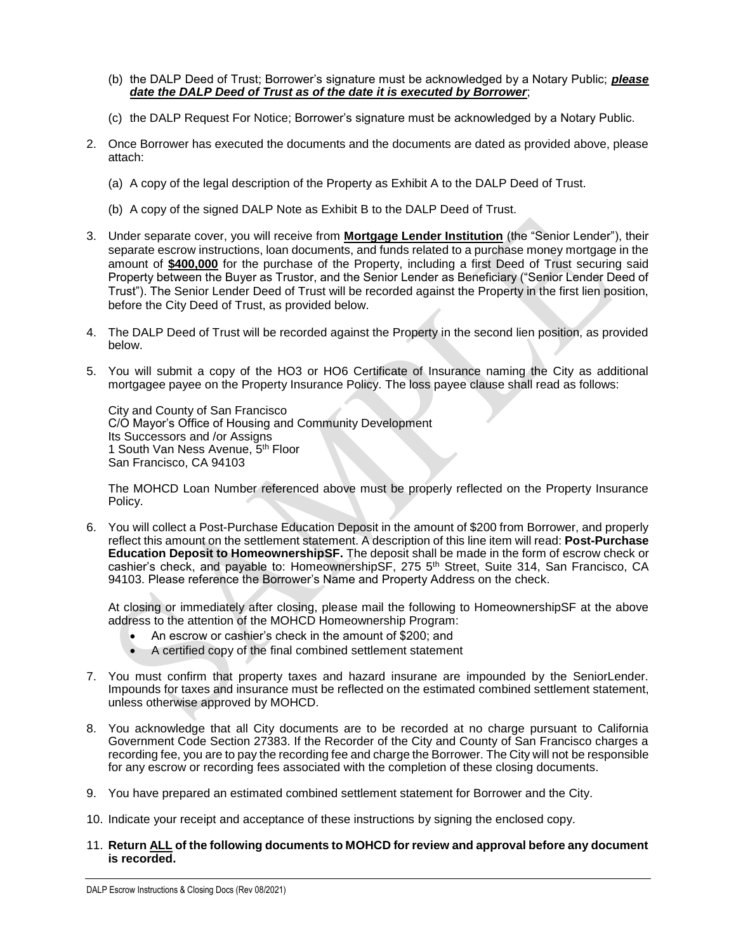- (b) the DALP Deed of Trust; Borrower's signature must be acknowledged by a Notary Public; *please date the DALP Deed of Trust as of the date it is executed by Borrower*;
- (c) the DALP Request For Notice; Borrower's signature must be acknowledged by a Notary Public.
- 2. Once Borrower has executed the documents and the documents are dated as provided above, please attach:
	- (a) A copy of the legal description of the Property as Exhibit A to the DALP Deed of Trust.
	- (b) A copy of the signed DALP Note as Exhibit B to the DALP Deed of Trust.
- 3. Under separate cover, you will receive from **Mortgage Lender Institution** (the "Senior Lender"), their separate escrow instructions, loan documents, and funds related to a purchase money mortgage in the amount of **\$400,000** for the purchase of the Property, including a first Deed of Trust securing said Property between the Buyer as Trustor, and the Senior Lender as Beneficiary ("Senior Lender Deed of Trust"). The Senior Lender Deed of Trust will be recorded against the Property in the first lien position, before the City Deed of Trust, as provided below.
- 4. The DALP Deed of Trust will be recorded against the Property in the second lien position, as provided below.
- 5. You will submit a copy of the HO3 or HO6 Certificate of Insurance naming the City as additional mortgagee payee on the Property Insurance Policy. The loss payee clause shall read as follows:

City and County of San Francisco C/O Mayor's Office of Housing and Community Development Its Successors and /or Assigns 1 South Van Ness Avenue, 5th Floor San Francisco, CA 94103

The MOHCD Loan Number referenced above must be properly reflected on the Property Insurance Policy.

6. You will collect a Post-Purchase Education Deposit in the amount of \$200 from Borrower, and properly reflect this amount on the settlement statement. A description of this line item will read: **Post-Purchase Education Deposit to HomeownershipSF.** The deposit shall be made in the form of escrow check or cashier's check, and payable to: HomeownershipSF, 275 5<sup>th</sup> Street, Suite 314, San Francisco, CA 94103. Please reference the Borrower's Name and Property Address on the check.

At closing or immediately after closing, please mail the following to HomeownershipSF at the above address to the attention of the MOHCD Homeownership Program:

- An escrow or cashier's check in the amount of \$200; and
- A certified copy of the final combined settlement statement
- 7. You must confirm that property taxes and hazard insurane are impounded by the SeniorLender. Impounds for taxes and insurance must be reflected on the estimated combined settlement statement, unless otherwise approved by MOHCD.
- 8. You acknowledge that all City documents are to be recorded at no charge pursuant to California Government Code Section 27383. If the Recorder of the City and County of San Francisco charges a recording fee, you are to pay the recording fee and charge the Borrower. The City will not be responsible for any escrow or recording fees associated with the completion of these closing documents.
- 9. You have prepared an estimated combined settlement statement for Borrower and the City.
- 10. Indicate your receipt and acceptance of these instructions by signing the enclosed copy.
- 11. **Return ALL of the following documents to MOHCD for review and approval before any document is recorded.**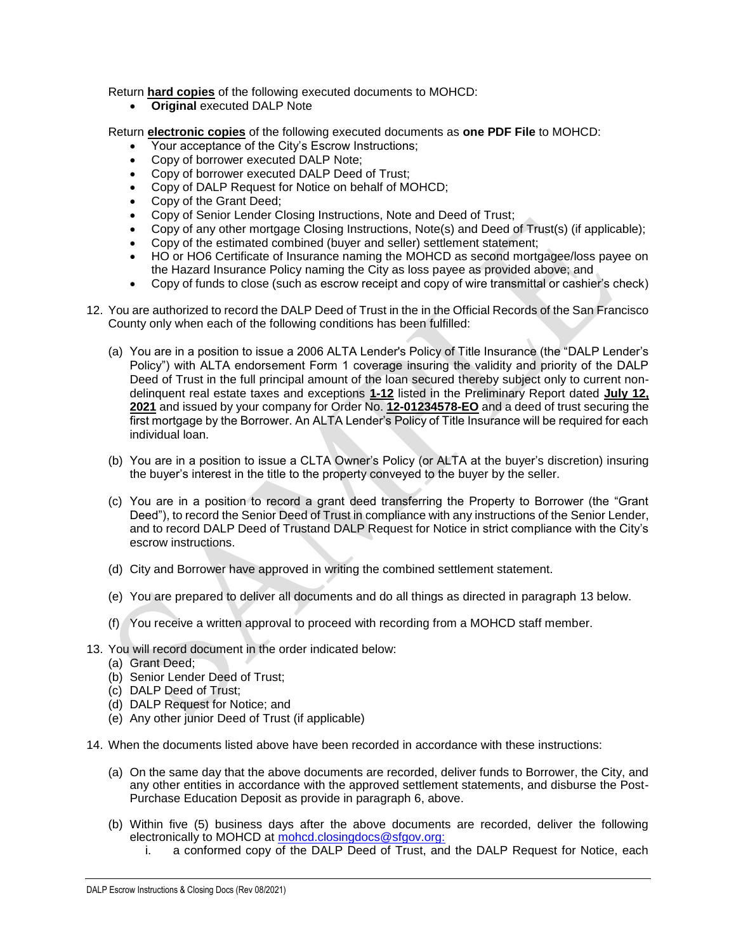Return **hard copies** of the following executed documents to MOHCD:

• **Original** executed DALP Note

Return **electronic copies** of the following executed documents as **one PDF File** to MOHCD:

- Your acceptance of the City's Escrow Instructions;
- Copy of borrower executed DALP Note;
- Copy of borrower executed DALP Deed of Trust;
- Copy of DALP Request for Notice on behalf of MOHCD;
- Copy of the Grant Deed;
- Copy of Senior Lender Closing Instructions, Note and Deed of Trust;
- Copy of any other mortgage Closing Instructions, Note(s) and Deed of Trust(s) (if applicable);
- Copy of the estimated combined (buyer and seller) settlement statement;
- HO or HO6 Certificate of Insurance naming the MOHCD as second mortgagee/loss payee on the Hazard Insurance Policy naming the City as loss payee as provided above; and
- Copy of funds to close (such as escrow receipt and copy of wire transmittal or cashier's check)
- 12. You are authorized to record the DALP Deed of Trust in the in the Official Records of the San Francisco County only when each of the following conditions has been fulfilled:
	- (a) You are in a position to issue a 2006 ALTA Lender's Policy of Title Insurance (the "DALP Lender's Policy") with ALTA endorsement Form 1 coverage insuring the validity and priority of the DALP Deed of Trust in the full principal amount of the loan secured thereby subject only to current nondelinquent real estate taxes and exceptions **1-12** listed in the Preliminary Report dated **July 12, 2021** and issued by your company for Order No. **12-01234578-EO** and a deed of trust securing the first mortgage by the Borrower. An ALTA Lender's Policy of Title Insurance will be required for each individual loan.
	- (b) You are in a position to issue a CLTA Owner's Policy (or ALTA at the buyer's discretion) insuring the buyer's interest in the title to the property conveyed to the buyer by the seller.
	- (c) You are in a position to record a grant deed transferring the Property to Borrower (the "Grant Deed"), to record the Senior Deed of Trust in compliance with any instructions of the Senior Lender, and to record DALP Deed of Trustand DALP Request for Notice in strict compliance with the City's escrow instructions.
	- (d) City and Borrower have approved in writing the combined settlement statement.
	- (e) You are prepared to deliver all documents and do all things as directed in paragraph 13 below.
	- (f) You receive a written approval to proceed with recording from a MOHCD staff member.
- 13. You will record document in the order indicated below:
	- (a) Grant Deed;
	- (b) Senior Lender Deed of Trust;
	- (c) DALP Deed of Trust;
	- (d) DALP Request for Notice; and
	- (e) Any other junior Deed of Trust (if applicable)
- 14. When the documents listed above have been recorded in accordance with these instructions:
	- (a) On the same day that the above documents are recorded, deliver funds to Borrower, the City, and any other entities in accordance with the approved settlement statements, and disburse the Post-Purchase Education Deposit as provide in paragraph 6, above.
	- (b) Within five (5) business days after the above documents are recorded, deliver the following electronically to MOHCD at [mohcd.closingdocs@sfgov.org:](mailto:mohcd.closingdocs@sfgov.org:)
		- i. a conformed copy of the DALP Deed of Trust, and the DALP Request for Notice, each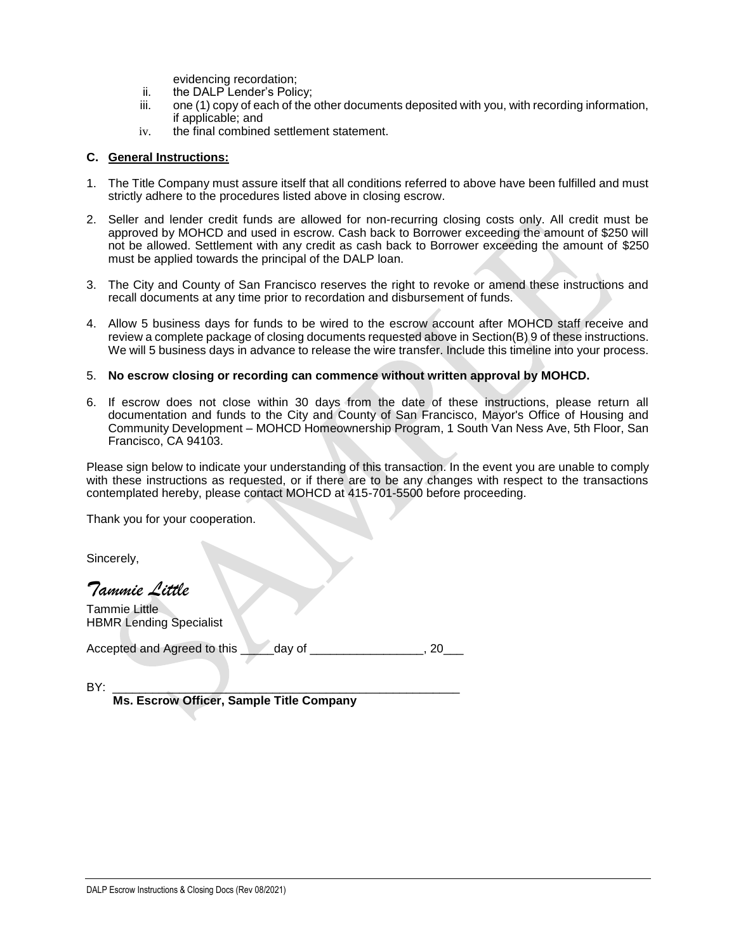evidencing recordation;

- ii. the DALP Lender's Policy;<br>iii. one (1) copy of each of the
- one (1) copy of each of the other documents deposited with you, with recording information, if applicable; and
- iv. the final combined settlement statement.

#### **C. General Instructions:**

- 1. The Title Company must assure itself that all conditions referred to above have been fulfilled and must strictly adhere to the procedures listed above in closing escrow.
- 2. Seller and lender credit funds are allowed for non-recurring closing costs only. All credit must be approved by MOHCD and used in escrow. Cash back to Borrower exceeding the amount of \$250 will not be allowed. Settlement with any credit as cash back to Borrower exceeding the amount of \$250 must be applied towards the principal of the DALP loan.
- 3. The City and County of San Francisco reserves the right to revoke or amend these instructions and recall documents at any time prior to recordation and disbursement of funds.
- 4. Allow 5 business days for funds to be wired to the escrow account after MOHCD staff receive and review a complete package of closing documents requested above in Section(B) 9 of these instructions. We will 5 business days in advance to release the wire transfer. Include this timeline into your process.

#### 5. **No escrow closing or recording can commence without written approval by MOHCD.**

6. If escrow does not close within 30 days from the date of these instructions, please return all documentation and funds to the City and County of San Francisco, Mayor's Office of Housing and Community Development – MOHCD Homeownership Program, 1 South Van Ness Ave, 5th Floor, San Francisco, CA 94103.

Please sign below to indicate your understanding of this transaction. In the event you are unable to comply with these instructions as requested, or if there are to be any changes with respect to the transactions contemplated hereby, please contact MOHCD at 415-701-5500 before proceeding.

Thank you for your cooperation.

Sincerely,

*Tammie Little*

Tammie Little HBMR Lending Specialist

Accepted and Agreed to this \_\_\_\_\_day of \_\_\_\_\_\_\_\_\_\_\_\_\_\_\_\_, 20\_\_\_

BY: \_\_\_\_\_\_\_\_\_\_\_\_\_\_\_\_\_\_\_\_\_\_\_\_\_\_\_\_\_\_\_\_\_\_\_\_\_\_\_\_\_\_\_\_\_\_\_\_\_\_\_\_  **Ms. Escrow Officer, Sample Title Company**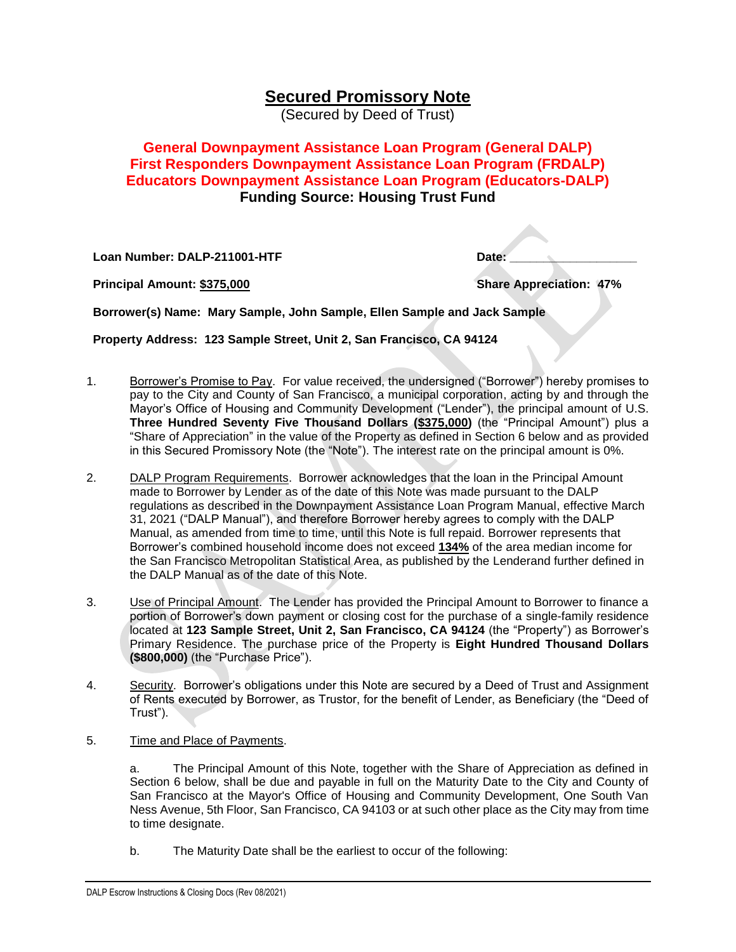# **Secured Promissory Note**

(Secured by Deed of Trust)

# **General Downpayment Assistance Loan Program (General DALP) First Responders Downpayment Assistance Loan Program (FRDALP) Educators Downpayment Assistance Loan Program (Educators-DALP) Funding Source: Housing Trust Fund**

**Loan Number: DALP-211001-HTF** 

**Principal Amount: \$375,000 Share Appreciation: 47%** 

| Date: |  |
|-------|--|
|       |  |

**Contract** 

**Borrower(s) Name: Mary Sample, John Sample, Ellen Sample and Jack Sample**

**Property Address: 123 Sample Street, Unit 2, San Francisco, CA 94124**

- 1. Borrower's Promise to Pay. For value received, the undersigned ("Borrower") hereby promises to pay to the City and County of San Francisco, a municipal corporation, acting by and through the Mayor's Office of Housing and Community Development ("Lender"), the principal amount of U.S. **Three Hundred Seventy Five Thousand Dollars (\$375,000)** (the "Principal Amount") plus a "Share of Appreciation" in the value of the Property as defined in Section 6 below and as provided in this Secured Promissory Note (the "Note"). The interest rate on the principal amount is 0%.
- 2. DALP Program Requirements. Borrower acknowledges that the loan in the Principal Amount made to Borrower by Lender as of the date of this Note was made pursuant to the DALP regulations as described in the Downpayment Assistance Loan Program Manual, effective March 31, 2021 ("DALP Manual"), and therefore Borrower hereby agrees to comply with the DALP Manual, as amended from time to time, until this Note is full repaid. Borrower represents that Borrower's combined household income does not exceed **134%** of the area median income for the San Francisco Metropolitan Statistical Area, as published by the Lenderand further defined in the DALP Manual as of the date of this Note.
- 3. Use of Principal Amount. The Lender has provided the Principal Amount to Borrower to finance a portion of Borrower's down payment or closing cost for the purchase of a single-family residence located at **123 Sample Street, Unit 2, San Francisco, CA 94124** (the "Property") as Borrower's Primary Residence. The purchase price of the Property is **Eight Hundred Thousand Dollars (\$800,000)** (the "Purchase Price").
- 4. Security. Borrower's obligations under this Note are secured by a Deed of Trust and Assignment of Rents executed by Borrower, as Trustor, for the benefit of Lender, as Beneficiary (the "Deed of Trust").
- 5. Time and Place of Payments.

a. The Principal Amount of this Note, together with the Share of Appreciation as defined in Section 6 below, shall be due and payable in full on the Maturity Date to the City and County of San Francisco at the Mayor's Office of Housing and Community Development, One South Van Ness Avenue, 5th Floor, San Francisco, CA 94103 or at such other place as the City may from time to time designate.

b. The Maturity Date shall be the earliest to occur of the following: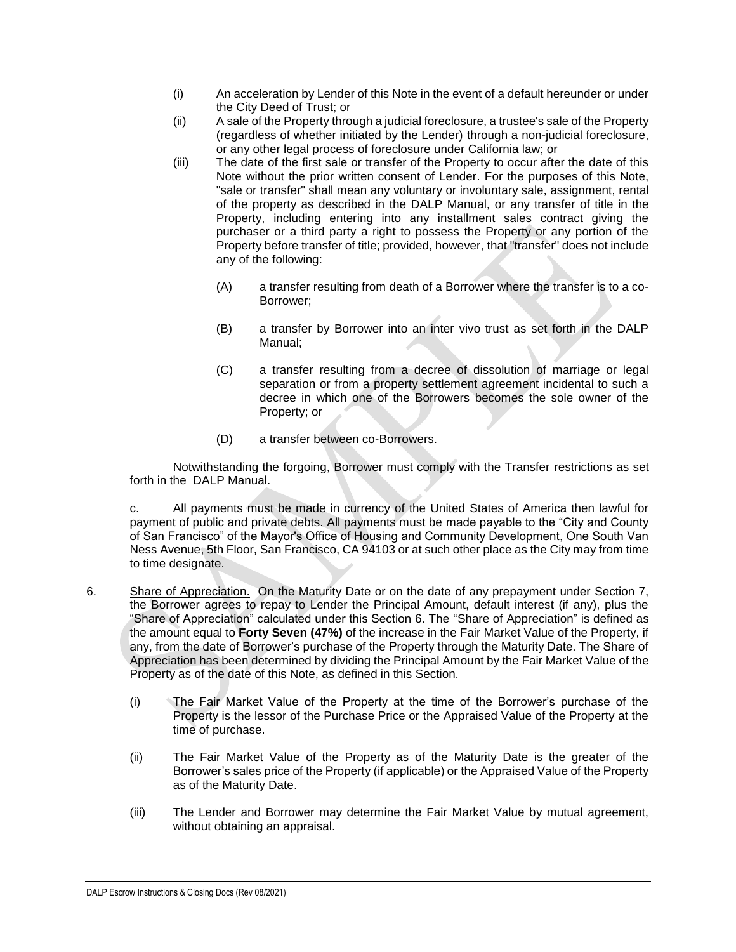- (i) An acceleration by Lender of this Note in the event of a default hereunder or under the City Deed of Trust; or
- (ii) A sale of the Property through a judicial foreclosure, a trustee's sale of the Property (regardless of whether initiated by the Lender) through a non-judicial foreclosure, or any other legal process of foreclosure under California law; or
- (iii) The date of the first sale or transfer of the Property to occur after the date of this Note without the prior written consent of Lender. For the purposes of this Note, "sale or transfer" shall mean any voluntary or involuntary sale, assignment, rental of the property as described in the DALP Manual, or any transfer of title in the Property, including entering into any installment sales contract giving the purchaser or a third party a right to possess the Property or any portion of the Property before transfer of title; provided, however, that "transfer" does not include any of the following:
	- (A) a transfer resulting from death of a Borrower where the transfer is to a co-Borrower;
	- (B) a transfer by Borrower into an inter vivo trust as set forth in the DALP Manual;
	- (C) a transfer resulting from a decree of dissolution of marriage or legal separation or from a property settlement agreement incidental to such a decree in which one of the Borrowers becomes the sole owner of the Property; or
	- (D) a transfer between co-Borrowers.

Notwithstanding the forgoing, Borrower must comply with the Transfer restrictions as set forth in the DALP Manual.

c. All payments must be made in currency of the United States of America then lawful for payment of public and private debts. All payments must be made payable to the "City and County of San Francisco" of the Mayor's Office of Housing and Community Development, One South Van Ness Avenue, 5th Floor, San Francisco, CA 94103 or at such other place as the City may from time to time designate.

- 6. Share of Appreciation. On the Maturity Date or on the date of any prepayment under Section 7, the Borrower agrees to repay to Lender the Principal Amount, default interest (if any), plus the "Share of Appreciation" calculated under this Section 6. The "Share of Appreciation" is defined as the amount equal to **Forty Seven (47%)** of the increase in the Fair Market Value of the Property, if any, from the date of Borrower's purchase of the Property through the Maturity Date. The Share of Appreciation has been determined by dividing the Principal Amount by the Fair Market Value of the Property as of the date of this Note, as defined in this Section.
	- (i) The Fair Market Value of the Property at the time of the Borrower's purchase of the Property is the lessor of the Purchase Price or the Appraised Value of the Property at the time of purchase.
	- (ii) The Fair Market Value of the Property as of the Maturity Date is the greater of the Borrower's sales price of the Property (if applicable) or the Appraised Value of the Property as of the Maturity Date.
	- (iii) The Lender and Borrower may determine the Fair Market Value by mutual agreement, without obtaining an appraisal.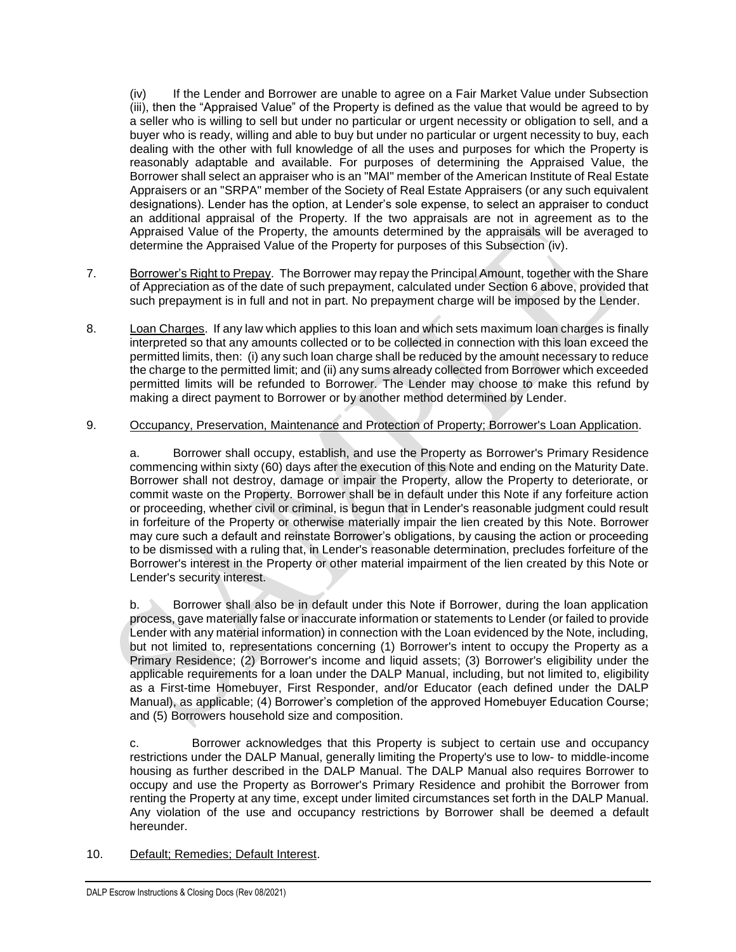(iv) If the Lender and Borrower are unable to agree on a Fair Market Value under Subsection (iii), then the "Appraised Value" of the Property is defined as the value that would be agreed to by a seller who is willing to sell but under no particular or urgent necessity or obligation to sell, and a buyer who is ready, willing and able to buy but under no particular or urgent necessity to buy, each dealing with the other with full knowledge of all the uses and purposes for which the Property is reasonably adaptable and available. For purposes of determining the Appraised Value, the Borrower shall select an appraiser who is an "MAI" member of the American Institute of Real Estate Appraisers or an "SRPA" member of the Society of Real Estate Appraisers (or any such equivalent designations). Lender has the option, at Lender's sole expense, to select an appraiser to conduct an additional appraisal of the Property. If the two appraisals are not in agreement as to the Appraised Value of the Property, the amounts determined by the appraisals will be averaged to determine the Appraised Value of the Property for purposes of this Subsection (iv).

- 7. Borrower's Right to Prepay. The Borrower may repay the Principal Amount, together with the Share of Appreciation as of the date of such prepayment, calculated under Section 6 above, provided that such prepayment is in full and not in part. No prepayment charge will be imposed by the Lender.
- 8. Loan Charges. If any law which applies to this loan and which sets maximum loan charges is finally interpreted so that any amounts collected or to be collected in connection with this loan exceed the permitted limits, then: (i) any such loan charge shall be reduced by the amount necessary to reduce the charge to the permitted limit; and (ii) any sums already collected from Borrower which exceeded permitted limits will be refunded to Borrower. The Lender may choose to make this refund by making a direct payment to Borrower or by another method determined by Lender.

#### 9. Occupancy, Preservation, Maintenance and Protection of Property; Borrower's Loan Application.

a. Borrower shall occupy, establish, and use the Property as Borrower's Primary Residence commencing within sixty (60) days after the execution of this Note and ending on the Maturity Date. Borrower shall not destroy, damage or impair the Property, allow the Property to deteriorate, or commit waste on the Property. Borrower shall be in default under this Note if any forfeiture action or proceeding, whether civil or criminal, is begun that in Lender's reasonable judgment could result in forfeiture of the Property or otherwise materially impair the lien created by this Note. Borrower may cure such a default and reinstate Borrower's obligations, by causing the action or proceeding to be dismissed with a ruling that, in Lender's reasonable determination, precludes forfeiture of the Borrower's interest in the Property or other material impairment of the lien created by this Note or Lender's security interest.

b. Borrower shall also be in default under this Note if Borrower, during the loan application process, gave materially false or inaccurate information or statements to Lender (or failed to provide Lender with any material information) in connection with the Loan evidenced by the Note, including, but not limited to, representations concerning (1) Borrower's intent to occupy the Property as a Primary Residence; (2) Borrower's income and liquid assets; (3) Borrower's eligibility under the applicable requirements for a loan under the DALP Manual, including, but not limited to, eligibility as a First-time Homebuyer, First Responder, and/or Educator (each defined under the DALP Manual), as applicable; (4) Borrower's completion of the approved Homebuyer Education Course; and (5) Borrowers household size and composition.

c. Borrower acknowledges that this Property is subject to certain use and occupancy restrictions under the DALP Manual, generally limiting the Property's use to low- to middle-income housing as further described in the DALP Manual. The DALP Manual also requires Borrower to occupy and use the Property as Borrower's Primary Residence and prohibit the Borrower from renting the Property at any time, except under limited circumstances set forth in the DALP Manual. Any violation of the use and occupancy restrictions by Borrower shall be deemed a default hereunder.

#### 10. Default; Remedies; Default Interest.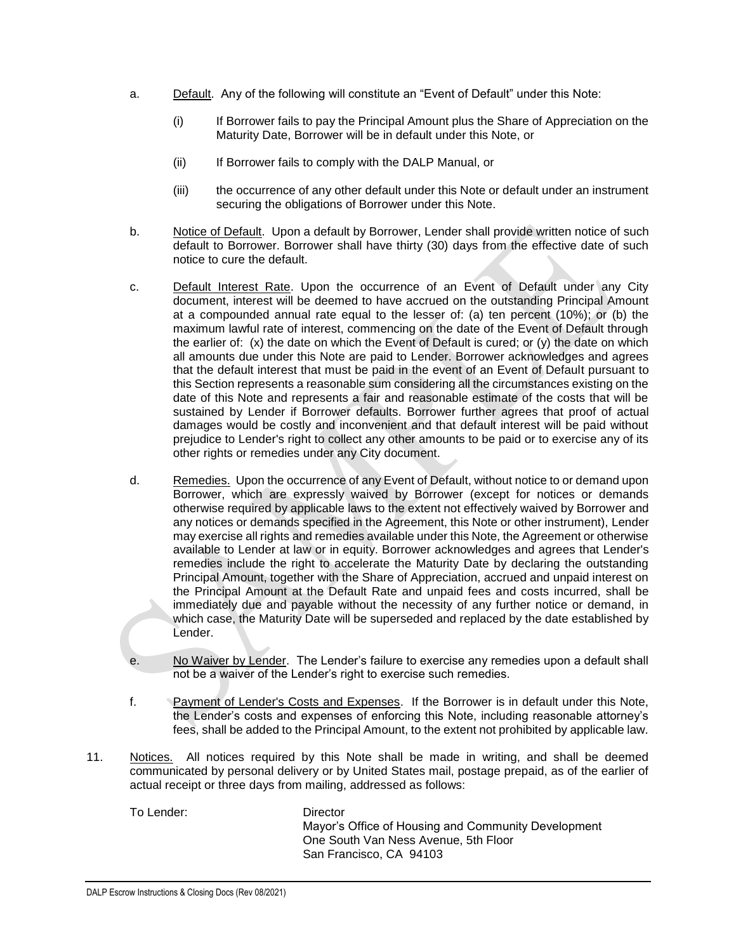- a. Default. Any of the following will constitute an "Event of Default" under this Note:
	- (i) If Borrower fails to pay the Principal Amount plus the Share of Appreciation on the Maturity Date, Borrower will be in default under this Note, or
	- (ii) If Borrower fails to comply with the DALP Manual, or
	- (iii) the occurrence of any other default under this Note or default under an instrument securing the obligations of Borrower under this Note.
- b. Notice of Default. Upon a default by Borrower, Lender shall provide written notice of such default to Borrower. Borrower shall have thirty (30) days from the effective date of such notice to cure the default.
- c. Default Interest Rate. Upon the occurrence of an Event of Default under any City document, interest will be deemed to have accrued on the outstanding Principal Amount at a compounded annual rate equal to the lesser of: (a) ten percent (10%); or (b) the maximum lawful rate of interest, commencing on the date of the Event of Default through the earlier of:  $(x)$  the date on which the Event of Default is cured; or  $(y)$  the date on which all amounts due under this Note are paid to Lender. Borrower acknowledges and agrees that the default interest that must be paid in the event of an Event of Default pursuant to this Section represents a reasonable sum considering all the circumstances existing on the date of this Note and represents a fair and reasonable estimate of the costs that will be sustained by Lender if Borrower defaults. Borrower further agrees that proof of actual damages would be costly and inconvenient and that default interest will be paid without prejudice to Lender's right to collect any other amounts to be paid or to exercise any of its other rights or remedies under any City document.
- d. Remedies. Upon the occurrence of any Event of Default, without notice to or demand upon Borrower, which are expressly waived by Borrower (except for notices or demands otherwise required by applicable laws to the extent not effectively waived by Borrower and any notices or demands specified in the Agreement, this Note or other instrument), Lender may exercise all rights and remedies available under this Note, the Agreement or otherwise available to Lender at law or in equity. Borrower acknowledges and agrees that Lender's remedies include the right to accelerate the Maturity Date by declaring the outstanding Principal Amount, together with the Share of Appreciation, accrued and unpaid interest on the Principal Amount at the Default Rate and unpaid fees and costs incurred, shall be immediately due and payable without the necessity of any further notice or demand, in which case, the Maturity Date will be superseded and replaced by the date established by Lender.
- e. No Waiver by Lender. The Lender's failure to exercise any remedies upon a default shall not be a waiver of the Lender's right to exercise such remedies.
- f. Payment of Lender's Costs and Expenses. If the Borrower is in default under this Note, the Lender's costs and expenses of enforcing this Note, including reasonable attorney's fees, shall be added to the Principal Amount, to the extent not prohibited by applicable law.
- 11. Notices. All notices required by this Note shall be made in writing, and shall be deemed communicated by personal delivery or by United States mail, postage prepaid, as of the earlier of actual receipt or three days from mailing, addressed as follows:

To Lender: Director

Mayor's Office of Housing and Community Development One South Van Ness Avenue, 5th Floor San Francisco, CA 94103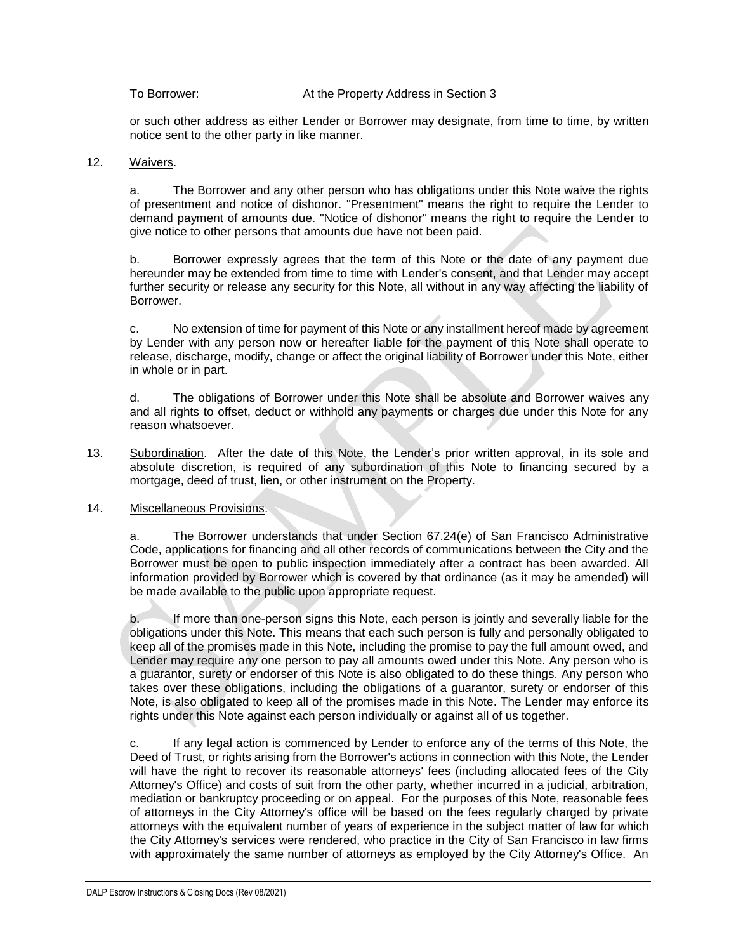or such other address as either Lender or Borrower may designate, from time to time, by written notice sent to the other party in like manner.

#### 12. Waivers.

a. The Borrower and any other person who has obligations under this Note waive the rights of presentment and notice of dishonor. "Presentment" means the right to require the Lender to demand payment of amounts due. "Notice of dishonor" means the right to require the Lender to give notice to other persons that amounts due have not been paid.

b. Borrower expressly agrees that the term of this Note or the date of any payment due hereunder may be extended from time to time with Lender's consent, and that Lender may accept further security or release any security for this Note, all without in any way affecting the liability of Borrower.

c. No extension of time for payment of this Note or any installment hereof made by agreement by Lender with any person now or hereafter liable for the payment of this Note shall operate to release, discharge, modify, change or affect the original liability of Borrower under this Note, either in whole or in part.

d. The obligations of Borrower under this Note shall be absolute and Borrower waives any and all rights to offset, deduct or withhold any payments or charges due under this Note for any reason whatsoever.

13. Subordination. After the date of this Note, the Lender's prior written approval, in its sole and absolute discretion, is required of any subordination of this Note to financing secured by a mortgage, deed of trust, lien, or other instrument on the Property.

#### 14. Miscellaneous Provisions.

a. The Borrower understands that under Section 67.24(e) of San Francisco Administrative Code, applications for financing and all other records of communications between the City and the Borrower must be open to public inspection immediately after a contract has been awarded. All information provided by Borrower which is covered by that ordinance (as it may be amended) will be made available to the public upon appropriate request.

b. If more than one-person signs this Note, each person is jointly and severally liable for the obligations under this Note. This means that each such person is fully and personally obligated to keep all of the promises made in this Note, including the promise to pay the full amount owed, and Lender may require any one person to pay all amounts owed under this Note. Any person who is a guarantor, surety or endorser of this Note is also obligated to do these things. Any person who takes over these obligations, including the obligations of a guarantor, surety or endorser of this Note, is also obligated to keep all of the promises made in this Note. The Lender may enforce its rights under this Note against each person individually or against all of us together.

c. If any legal action is commenced by Lender to enforce any of the terms of this Note, the Deed of Trust, or rights arising from the Borrower's actions in connection with this Note, the Lender will have the right to recover its reasonable attorneys' fees (including allocated fees of the City Attorney's Office) and costs of suit from the other party, whether incurred in a judicial, arbitration, mediation or bankruptcy proceeding or on appeal. For the purposes of this Note, reasonable fees of attorneys in the City Attorney's office will be based on the fees regularly charged by private attorneys with the equivalent number of years of experience in the subject matter of law for which the City Attorney's services were rendered, who practice in the City of San Francisco in law firms with approximately the same number of attorneys as employed by the City Attorney's Office. An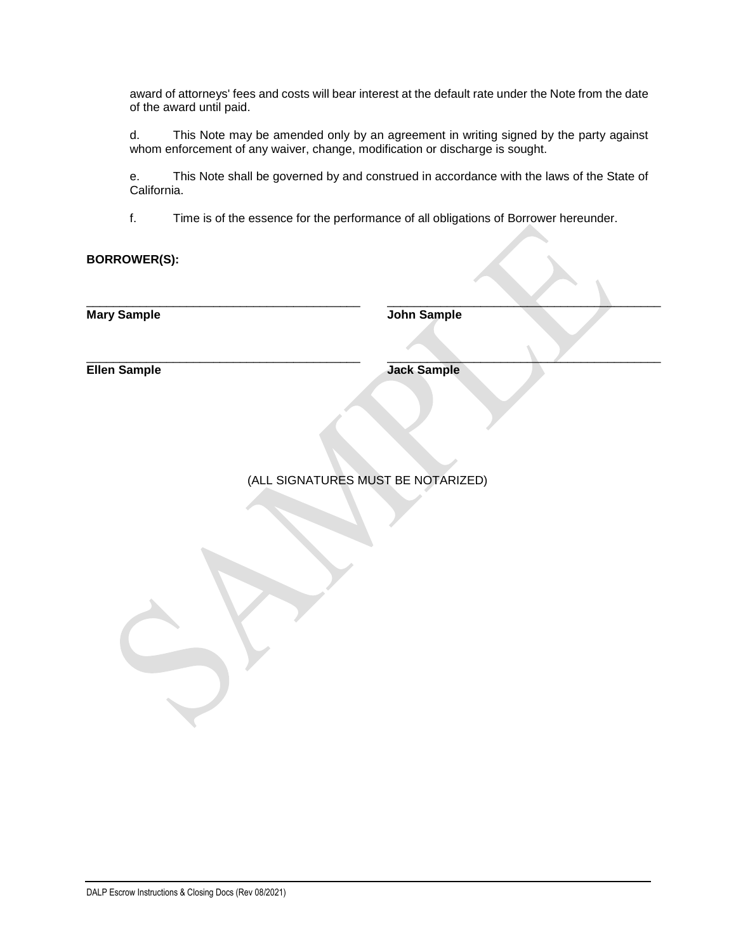award of attorneys' fees and costs will bear interest at the default rate under the Note from the date of the award until paid.

d. This Note may be amended only by an agreement in writing signed by the party against whom enforcement of any waiver, change, modification or discharge is sought.

e. This Note shall be governed by and construed in accordance with the laws of the State of California.

f. Time is of the essence for the performance of all obligations of Borrower hereunder.

**BORROWER(S):**

\_\_\_\_\_\_\_\_\_\_\_\_\_\_\_\_\_\_\_\_\_\_\_\_\_\_\_\_\_\_\_\_\_\_\_\_\_\_\_\_\_

**Mary Sample**

**John Sample**

\_\_\_\_\_\_\_\_\_\_\_\_\_\_\_\_\_\_\_\_\_\_\_\_\_\_\_\_\_\_\_\_\_\_\_\_\_\_\_\_\_

 $\qquad \qquad \blacksquare$ 

\_\_\_\_\_\_\_\_\_\_\_\_\_\_\_\_\_\_\_\_\_\_\_\_\_\_\_\_\_\_\_\_\_\_\_\_\_\_\_\_\_ **Ellen Sample**

**Jack Sample**

(ALL SIGNATURES MUST BE NOTARIZED)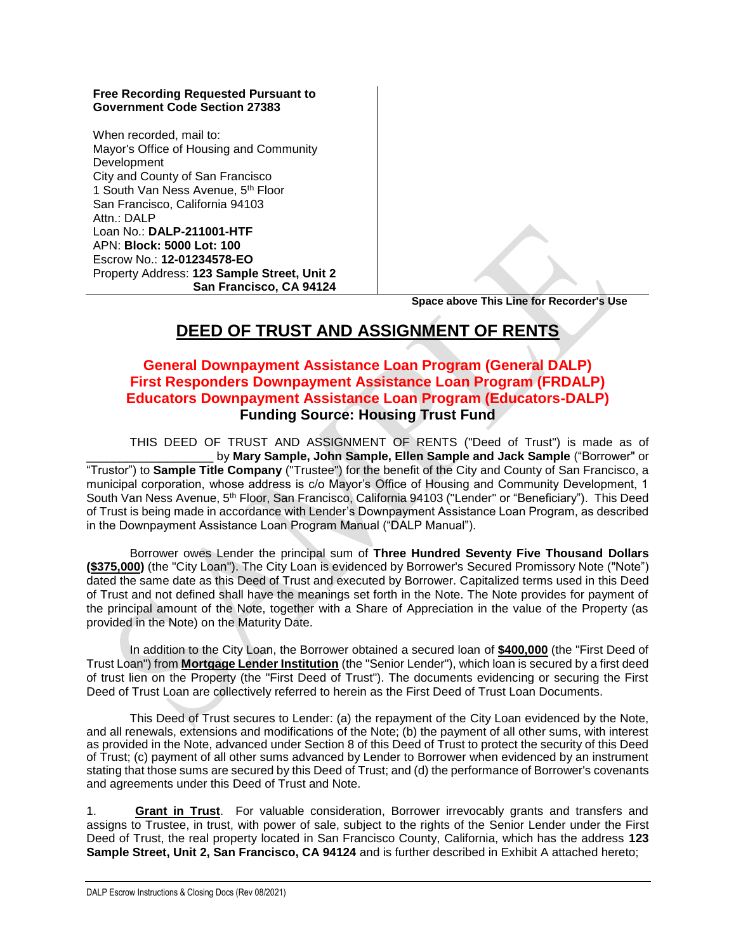#### **Free Recording Requested Pursuant to Government Code Section 27383**

When recorded, mail to: Mayor's Office of Housing and Community Development City and County of San Francisco 1 South Van Ness Avenue, 5th Floor San Francisco, California 94103 Attn · DAI P Loan No.: **DALP-211001-HTF** APN: **Block: 5000 Lot: 100** Escrow No.: **12-01234578-EO** Property Address: **123 Sample Street, Unit 2 San Francisco, CA 94124**

 **Space above This Line for Recorder's Use**

# **DEED OF TRUST AND ASSIGNMENT OF RENTS**

## **General Downpayment Assistance Loan Program (General DALP) First Responders Downpayment Assistance Loan Program (FRDALP) Educators Downpayment Assistance Loan Program (Educators-DALP) Funding Source: Housing Trust Fund**

 THIS DEED OF TRUST AND ASSIGNMENT OF RENTS ("Deed of Trust") is made as of by Mary Sample, John Sample, Ellen Sample and Jack Sample ("Borrower" or "Trustor") to **Sample Title Company** ("Trustee") for the benefit of the City and County of San Francisco, a municipal corporation, whose address is c/o Mayor's Office of Housing and Community Development, 1 South Van Ness Avenue, 5th Floor, San Francisco, California 94103 ("Lender" or "Beneficiary"). This Deed of Trust is being made in accordance with Lender's Downpayment Assistance Loan Program, as described in the Downpayment Assistance Loan Program Manual ("DALP Manual").

Borrower owes Lender the principal sum of **Three Hundred Seventy Five Thousand Dollars (\$375,000)** (the "City Loan"). The City Loan is evidenced by Borrower's Secured Promissory Note ("Note") dated the same date as this Deed of Trust and executed by Borrower. Capitalized terms used in this Deed of Trust and not defined shall have the meanings set forth in the Note. The Note provides for payment of the principal amount of the Note, together with a Share of Appreciation in the value of the Property (as provided in the Note) on the Maturity Date.

In addition to the City Loan, the Borrower obtained a secured loan of **\$400,000** (the "First Deed of Trust Loan") from **Mortgage Lender Institution** (the "Senior Lender"), which loan is secured by a first deed of trust lien on the Property (the "First Deed of Trust"). The documents evidencing or securing the First Deed of Trust Loan are collectively referred to herein as the First Deed of Trust Loan Documents.

This Deed of Trust secures to Lender: (a) the repayment of the City Loan evidenced by the Note, and all renewals, extensions and modifications of the Note; (b) the payment of all other sums, with interest as provided in the Note, advanced under Section 8 of this Deed of Trust to protect the security of this Deed of Trust; (c) payment of all other sums advanced by Lender to Borrower when evidenced by an instrument stating that those sums are secured by this Deed of Trust; and (d) the performance of Borrower's covenants and agreements under this Deed of Trust and Note.

1. **Grant in Trust**. For valuable consideration, Borrower irrevocably grants and transfers and assigns to Trustee, in trust, with power of sale, subject to the rights of the Senior Lender under the First Deed of Trust, the real property located in San Francisco County, California, which has the address **123 Sample Street, Unit 2, San Francisco, CA 94124** and is further described in Exhibit A attached hereto;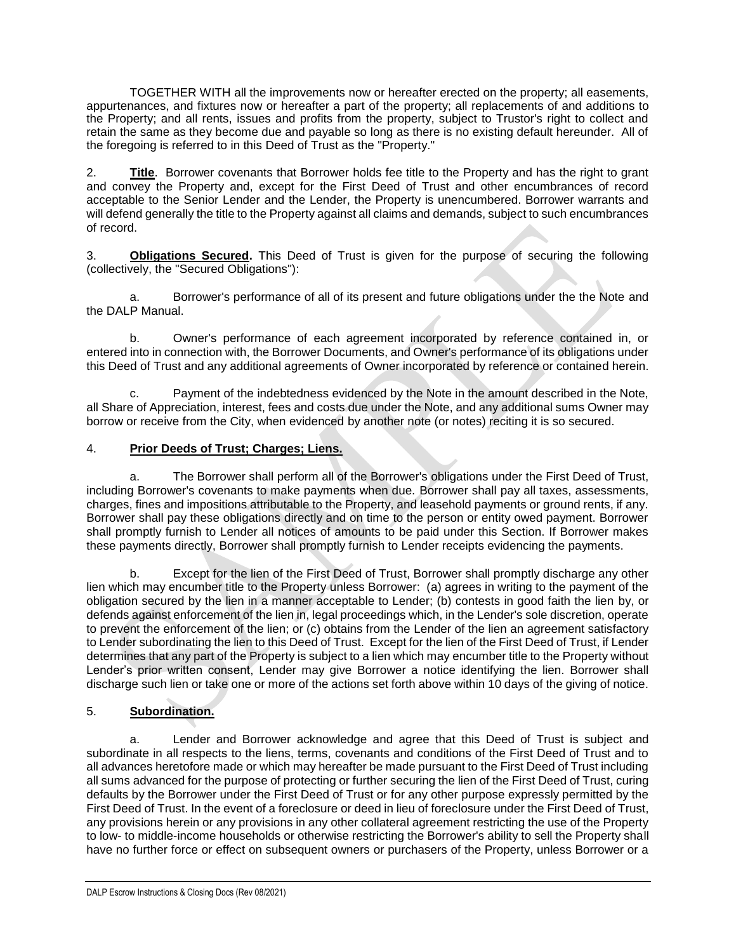TOGETHER WITH all the improvements now or hereafter erected on the property; all easements, appurtenances, and fixtures now or hereafter a part of the property; all replacements of and additions to the Property; and all rents, issues and profits from the property, subject to Trustor's right to collect and retain the same as they become due and payable so long as there is no existing default hereunder. All of the foregoing is referred to in this Deed of Trust as the "Property."

2. **Title**. Borrower covenants that Borrower holds fee title to the Property and has the right to grant and convey the Property and, except for the First Deed of Trust and other encumbrances of record acceptable to the Senior Lender and the Lender, the Property is unencumbered. Borrower warrants and will defend generally the title to the Property against all claims and demands, subject to such encumbrances of record.

3. **Obligations Secured.** This Deed of Trust is given for the purpose of securing the following (collectively, the "Secured Obligations"):

a. Borrower's performance of all of its present and future obligations under the the Note and the DALP Manual.

b. Owner's performance of each agreement incorporated by reference contained in, or entered into in connection with, the Borrower Documents, and Owner's performance of its obligations under this Deed of Trust and any additional agreements of Owner incorporated by reference or contained herein.

c. Payment of the indebtedness evidenced by the Note in the amount described in the Note, all Share of Appreciation, interest, fees and costs due under the Note, and any additional sums Owner may borrow or receive from the City, when evidenced by another note (or notes) reciting it is so secured.

#### 4. **Prior Deeds of Trust; Charges; Liens.**

a. The Borrower shall perform all of the Borrower's obligations under the First Deed of Trust, including Borrower's covenants to make payments when due. Borrower shall pay all taxes, assessments, charges, fines and impositions attributable to the Property, and leasehold payments or ground rents, if any. Borrower shall pay these obligations directly and on time to the person or entity owed payment. Borrower shall promptly furnish to Lender all notices of amounts to be paid under this Section. If Borrower makes these payments directly, Borrower shall promptly furnish to Lender receipts evidencing the payments.

b. Except for the lien of the First Deed of Trust, Borrower shall promptly discharge any other lien which may encumber title to the Property unless Borrower: (a) agrees in writing to the payment of the obligation secured by the lien in a manner acceptable to Lender; (b) contests in good faith the lien by, or defends against enforcement of the lien in, legal proceedings which, in the Lender's sole discretion, operate to prevent the enforcement of the lien; or (c) obtains from the Lender of the lien an agreement satisfactory to Lender subordinating the lien to this Deed of Trust. Except for the lien of the First Deed of Trust, if Lender determines that any part of the Property is subject to a lien which may encumber title to the Property without Lender's prior written consent, Lender may give Borrower a notice identifying the lien. Borrower shall discharge such lien or take one or more of the actions set forth above within 10 days of the giving of notice.

#### 5. **Subordination.**

a. Lender and Borrower acknowledge and agree that this Deed of Trust is subject and subordinate in all respects to the liens, terms, covenants and conditions of the First Deed of Trust and to all advances heretofore made or which may hereafter be made pursuant to the First Deed of Trust including all sums advanced for the purpose of protecting or further securing the lien of the First Deed of Trust, curing defaults by the Borrower under the First Deed of Trust or for any other purpose expressly permitted by the First Deed of Trust. In the event of a foreclosure or deed in lieu of foreclosure under the First Deed of Trust, any provisions herein or any provisions in any other collateral agreement restricting the use of the Property to low- to middle-income households or otherwise restricting the Borrower's ability to sell the Property shall have no further force or effect on subsequent owners or purchasers of the Property, unless Borrower or a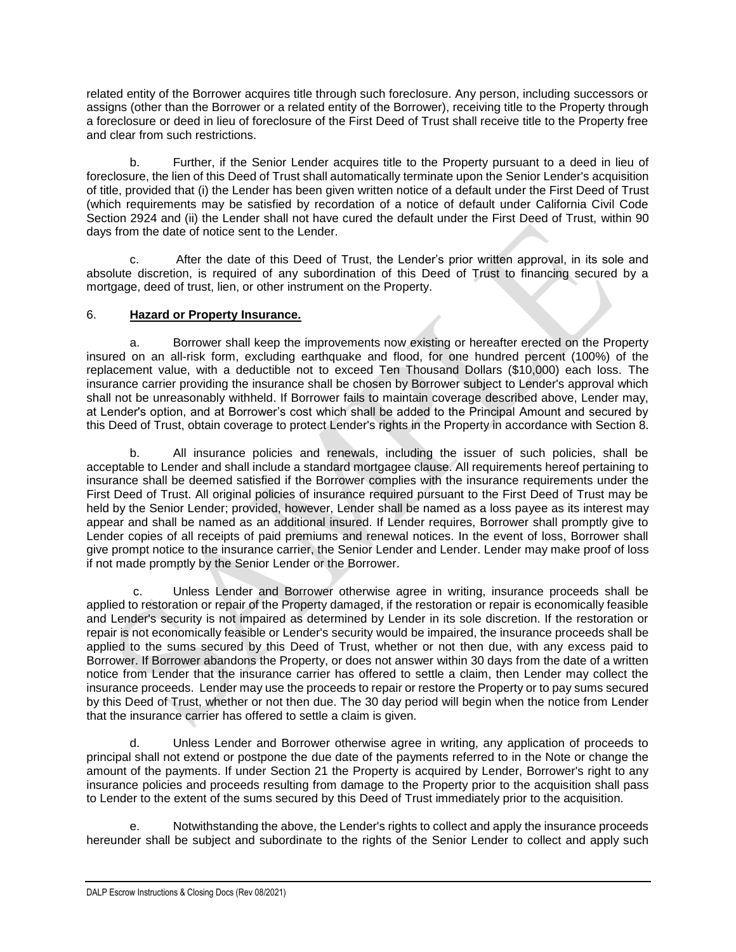related entity of the Borrower acquires title through such foreclosure. Any person, including successors or assigns (other than the Borrower or a related entity of the Borrower), receiving title to the Property through a foreclosure or deed in lieu of foreclosure of the First Deed of Trust shall receive title to the Property free and clear from such restrictions.

b. Further, if the Senior Lender acquires title to the Property pursuant to a deed in lieu of foreclosure, the lien of this Deed of Trust shall automatically terminate upon the Senior Lender's acquisition of title, provided that (i) the Lender has been given written notice of a default under the First Deed of Trust (which requirements may be satisfied by recordation of a notice of default under California Civil Code Section 2924 and (ii) the Lender shall not have cured the default under the First Deed of Trust, within 90 days from the date of notice sent to the Lender.

c. After the date of this Deed of Trust, the Lender's prior written approval, in its sole and absolute discretion, is required of any subordination of this Deed of Trust to financing secured by a mortgage, deed of trust, lien, or other instrument on the Property.

### 6. **Hazard or Property Insurance.**

a. Borrower shall keep the improvements now existing or hereafter erected on the Property insured on an all-risk form, excluding earthquake and flood, for one hundred percent (100%) of the replacement value, with a deductible not to exceed Ten Thousand Dollars (\$10,000) each loss. The insurance carrier providing the insurance shall be chosen by Borrower subject to Lender's approval which shall not be unreasonably withheld. If Borrower fails to maintain coverage described above, Lender may, at Lender's option, and at Borrower's cost which shall be added to the Principal Amount and secured by this Deed of Trust, obtain coverage to protect Lender's rights in the Property in accordance with Section 8.

b. All insurance policies and renewals, including the issuer of such policies, shall be acceptable to Lender and shall include a standard mortgagee clause. All requirements hereof pertaining to insurance shall be deemed satisfied if the Borrower complies with the insurance requirements under the First Deed of Trust. All original policies of insurance required pursuant to the First Deed of Trust may be held by the Senior Lender; provided, however, Lender shall be named as a loss payee as its interest may appear and shall be named as an additional insured. If Lender requires, Borrower shall promptly give to Lender copies of all receipts of paid premiums and renewal notices. In the event of loss, Borrower shall give prompt notice to the insurance carrier, the Senior Lender and Lender. Lender may make proof of loss if not made promptly by the Senior Lender or the Borrower.

c. Unless Lender and Borrower otherwise agree in writing, insurance proceeds shall be applied to restoration or repair of the Property damaged, if the restoration or repair is economically feasible and Lender's security is not impaired as determined by Lender in its sole discretion. If the restoration or repair is not economically feasible or Lender's security would be impaired, the insurance proceeds shall be applied to the sums secured by this Deed of Trust, whether or not then due, with any excess paid to Borrower. If Borrower abandons the Property, or does not answer within 30 days from the date of a written notice from Lender that the insurance carrier has offered to settle a claim, then Lender may collect the insurance proceeds. Lender may use the proceeds to repair or restore the Property or to pay sums secured by this Deed of Trust, whether or not then due. The 30 day period will begin when the notice from Lender that the insurance carrier has offered to settle a claim is given.

d. Unless Lender and Borrower otherwise agree in writing, any application of proceeds to principal shall not extend or postpone the due date of the payments referred to in the Note or change the amount of the payments. If under Section 21 the Property is acquired by Lender, Borrower's right to any insurance policies and proceeds resulting from damage to the Property prior to the acquisition shall pass to Lender to the extent of the sums secured by this Deed of Trust immediately prior to the acquisition.

e. Notwithstanding the above, the Lender's rights to collect and apply the insurance proceeds hereunder shall be subject and subordinate to the rights of the Senior Lender to collect and apply such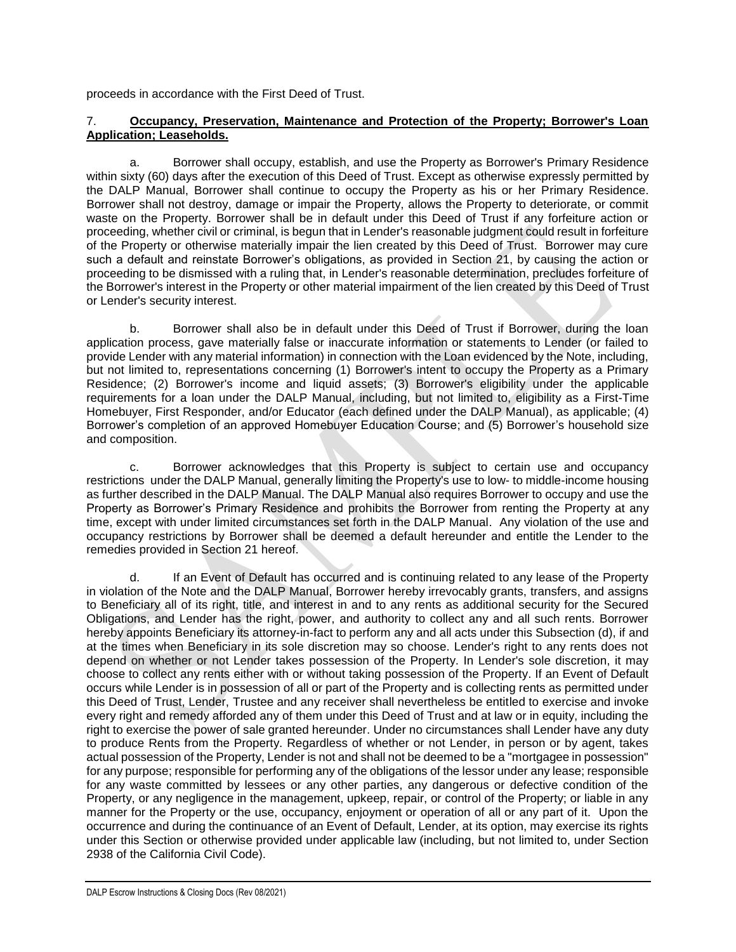proceeds in accordance with the First Deed of Trust.

#### 7. **Occupancy, Preservation, Maintenance and Protection of the Property; Borrower's Loan Application; Leaseholds.**

a. Borrower shall occupy, establish, and use the Property as Borrower's Primary Residence within sixty (60) days after the execution of this Deed of Trust. Except as otherwise expressly permitted by the DALP Manual, Borrower shall continue to occupy the Property as his or her Primary Residence. Borrower shall not destroy, damage or impair the Property, allows the Property to deteriorate, or commit waste on the Property. Borrower shall be in default under this Deed of Trust if any forfeiture action or proceeding, whether civil or criminal, is begun that in Lender's reasonable judgment could result in forfeiture of the Property or otherwise materially impair the lien created by this Deed of Trust. Borrower may cure such a default and reinstate Borrower's obligations, as provided in Section 21, by causing the action or proceeding to be dismissed with a ruling that, in Lender's reasonable determination, precludes forfeiture of the Borrower's interest in the Property or other material impairment of the lien created by this Deed of Trust or Lender's security interest.

b. Borrower shall also be in default under this Deed of Trust if Borrower, during the loan application process, gave materially false or inaccurate information or statements to Lender (or failed to provide Lender with any material information) in connection with the Loan evidenced by the Note, including, but not limited to, representations concerning (1) Borrower's intent to occupy the Property as a Primary Residence; (2) Borrower's income and liquid assets; (3) Borrower's eligibility under the applicable requirements for a loan under the DALP Manual, including, but not limited to, eligibility as a First-Time Homebuyer, First Responder, and/or Educator (each defined under the DALP Manual), as applicable; (4) Borrower's completion of an approved Homebuyer Education Course; and (5) Borrower's household size and composition.

c. Borrower acknowledges that this Property is subject to certain use and occupancy restrictions under the DALP Manual, generally limiting the Property's use to low- to middle-income housing as further described in the DALP Manual. The DALP Manual also requires Borrower to occupy and use the Property as Borrower's Primary Residence and prohibits the Borrower from renting the Property at any time, except with under limited circumstances set forth in the DALP Manual. Any violation of the use and occupancy restrictions by Borrower shall be deemed a default hereunder and entitle the Lender to the remedies provided in Section 21 hereof.

d. If an Event of Default has occurred and is continuing related to any lease of the Property in violation of the Note and the DALP Manual, Borrower hereby irrevocably grants, transfers, and assigns to Beneficiary all of its right, title, and interest in and to any rents as additional security for the Secured Obligations, and Lender has the right, power, and authority to collect any and all such rents. Borrower hereby appoints Beneficiary its attorney-in-fact to perform any and all acts under this Subsection (d), if and at the times when Beneficiary in its sole discretion may so choose. Lender's right to any rents does not depend on whether or not Lender takes possession of the Property. In Lender's sole discretion, it may choose to collect any rents either with or without taking possession of the Property. If an Event of Default occurs while Lender is in possession of all or part of the Property and is collecting rents as permitted under this Deed of Trust, Lender, Trustee and any receiver shall nevertheless be entitled to exercise and invoke every right and remedy afforded any of them under this Deed of Trust and at law or in equity, including the right to exercise the power of sale granted hereunder. Under no circumstances shall Lender have any duty to produce Rents from the Property. Regardless of whether or not Lender, in person or by agent, takes actual possession of the Property, Lender is not and shall not be deemed to be a "mortgagee in possession" for any purpose; responsible for performing any of the obligations of the lessor under any lease; responsible for any waste committed by lessees or any other parties, any dangerous or defective condition of the Property, or any negligence in the management, upkeep, repair, or control of the Property; or liable in any manner for the Property or the use, occupancy, enjoyment or operation of all or any part of it. Upon the occurrence and during the continuance of an Event of Default, Lender, at its option, may exercise its rights under this Section or otherwise provided under applicable law (including, but not limited to, under Section 2938 of the California Civil Code).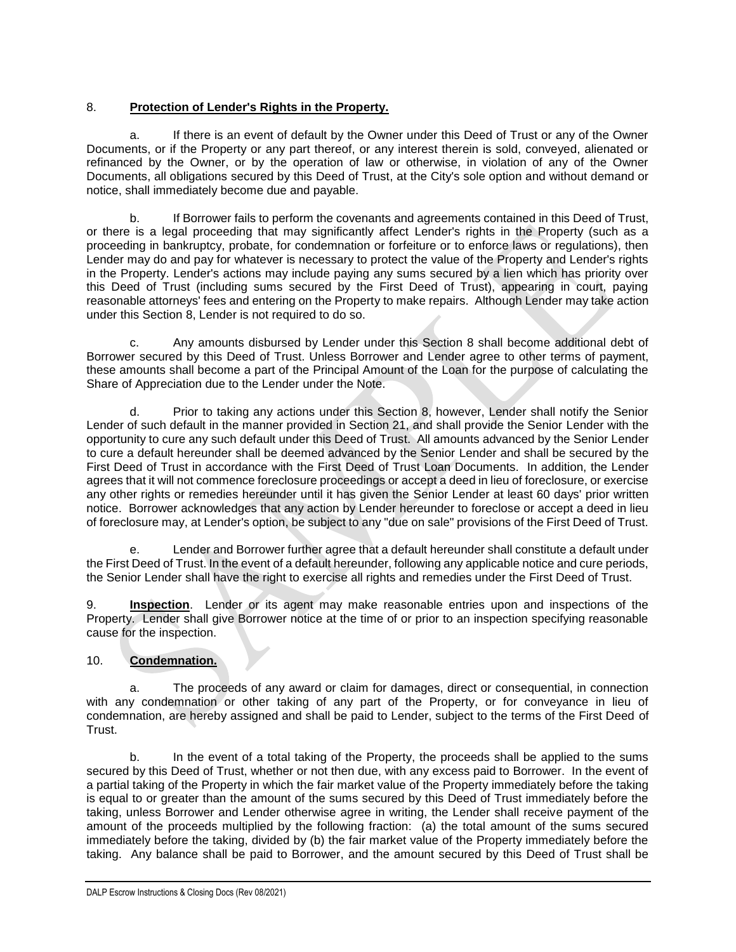### 8. **Protection of Lender's Rights in the Property.**

a. If there is an event of default by the Owner under this Deed of Trust or any of the Owner Documents, or if the Property or any part thereof, or any interest therein is sold, conveyed, alienated or refinanced by the Owner, or by the operation of law or otherwise, in violation of any of the Owner Documents, all obligations secured by this Deed of Trust, at the City's sole option and without demand or notice, shall immediately become due and payable.

b. If Borrower fails to perform the covenants and agreements contained in this Deed of Trust, or there is a legal proceeding that may significantly affect Lender's rights in the Property (such as a proceeding in bankruptcy, probate, for condemnation or forfeiture or to enforce laws or regulations), then Lender may do and pay for whatever is necessary to protect the value of the Property and Lender's rights in the Property. Lender's actions may include paying any sums secured by a lien which has priority over this Deed of Trust (including sums secured by the First Deed of Trust), appearing in court, paying reasonable attorneys' fees and entering on the Property to make repairs. Although Lender may take action under this Section 8, Lender is not required to do so.

c. Any amounts disbursed by Lender under this Section 8 shall become additional debt of Borrower secured by this Deed of Trust. Unless Borrower and Lender agree to other terms of payment, these amounts shall become a part of the Principal Amount of the Loan for the purpose of calculating the Share of Appreciation due to the Lender under the Note.

d. Prior to taking any actions under this Section 8, however, Lender shall notify the Senior Lender of such default in the manner provided in Section 21, and shall provide the Senior Lender with the opportunity to cure any such default under this Deed of Trust. All amounts advanced by the Senior Lender to cure a default hereunder shall be deemed advanced by the Senior Lender and shall be secured by the First Deed of Trust in accordance with the First Deed of Trust Loan Documents. In addition, the Lender agrees that it will not commence foreclosure proceedings or accept a deed in lieu of foreclosure, or exercise any other rights or remedies hereunder until it has given the Senior Lender at least 60 days' prior written notice. Borrower acknowledges that any action by Lender hereunder to foreclose or accept a deed in lieu of foreclosure may, at Lender's option, be subject to any "due on sale" provisions of the First Deed of Trust.

e. Lender and Borrower further agree that a default hereunder shall constitute a default under the First Deed of Trust. In the event of a default hereunder, following any applicable notice and cure periods, the Senior Lender shall have the right to exercise all rights and remedies under the First Deed of Trust.

9. **Inspection**. Lender or its agent may make reasonable entries upon and inspections of the Property. Lender shall give Borrower notice at the time of or prior to an inspection specifying reasonable cause for the inspection.

### 10. **Condemnation.**

a. The proceeds of any award or claim for damages, direct or consequential, in connection with any condemnation or other taking of any part of the Property, or for conveyance in lieu of condemnation, are hereby assigned and shall be paid to Lender, subject to the terms of the First Deed of Trust.

b. In the event of a total taking of the Property, the proceeds shall be applied to the sums secured by this Deed of Trust, whether or not then due, with any excess paid to Borrower. In the event of a partial taking of the Property in which the fair market value of the Property immediately before the taking is equal to or greater than the amount of the sums secured by this Deed of Trust immediately before the taking, unless Borrower and Lender otherwise agree in writing, the Lender shall receive payment of the amount of the proceeds multiplied by the following fraction: (a) the total amount of the sums secured immediately before the taking, divided by (b) the fair market value of the Property immediately before the taking. Any balance shall be paid to Borrower, and the amount secured by this Deed of Trust shall be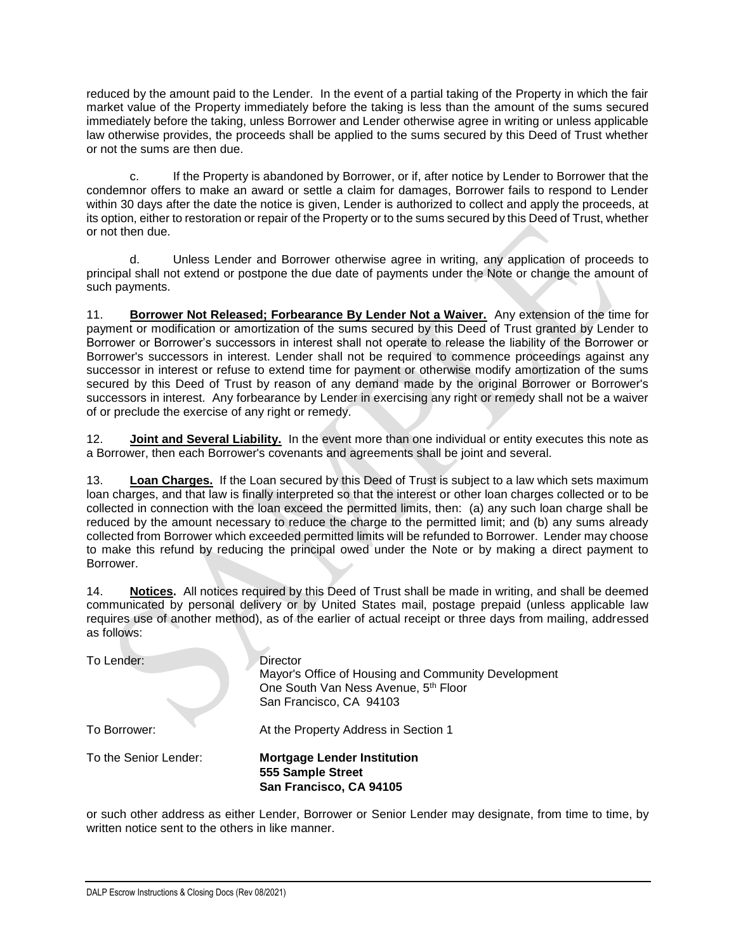reduced by the amount paid to the Lender. In the event of a partial taking of the Property in which the fair market value of the Property immediately before the taking is less than the amount of the sums secured immediately before the taking, unless Borrower and Lender otherwise agree in writing or unless applicable law otherwise provides, the proceeds shall be applied to the sums secured by this Deed of Trust whether or not the sums are then due.

c. If the Property is abandoned by Borrower, or if, after notice by Lender to Borrower that the condemnor offers to make an award or settle a claim for damages, Borrower fails to respond to Lender within 30 days after the date the notice is given, Lender is authorized to collect and apply the proceeds, at its option, either to restoration or repair of the Property or to the sums secured by this Deed of Trust, whether or not then due.

d. Unless Lender and Borrower otherwise agree in writing, any application of proceeds to principal shall not extend or postpone the due date of payments under the Note or change the amount of such payments.

11. **Borrower Not Released; Forbearance By Lender Not a Waiver.** Any extension of the time for payment or modification or amortization of the sums secured by this Deed of Trust granted by Lender to Borrower or Borrower's successors in interest shall not operate to release the liability of the Borrower or Borrower's successors in interest. Lender shall not be required to commence proceedings against any successor in interest or refuse to extend time for payment or otherwise modify amortization of the sums secured by this Deed of Trust by reason of any demand made by the original Borrower or Borrower's successors in interest. Any forbearance by Lender in exercising any right or remedy shall not be a waiver of or preclude the exercise of any right or remedy.

12. **Joint and Several Liability.** In the event more than one individual or entity executes this note as a Borrower, then each Borrower's covenants and agreements shall be joint and several.

13. **Loan Charges.** If the Loan secured by this Deed of Trust is subject to a law which sets maximum loan charges, and that law is finally interpreted so that the interest or other loan charges collected or to be collected in connection with the loan exceed the permitted limits, then: (a) any such loan charge shall be reduced by the amount necessary to reduce the charge to the permitted limit; and (b) any sums already collected from Borrower which exceeded permitted limits will be refunded to Borrower. Lender may choose to make this refund by reducing the principal owed under the Note or by making a direct payment to Borrower.

14. **Notices.** All notices required by this Deed of Trust shall be made in writing, and shall be deemed communicated by personal delivery or by United States mail, postage prepaid (unless applicable law requires use of another method), as of the earlier of actual receipt or three days from mailing, addressed as follows:

or such other address as either Lender, Borrower or Senior Lender may designate, from time to time, by written notice sent to the others in like manner.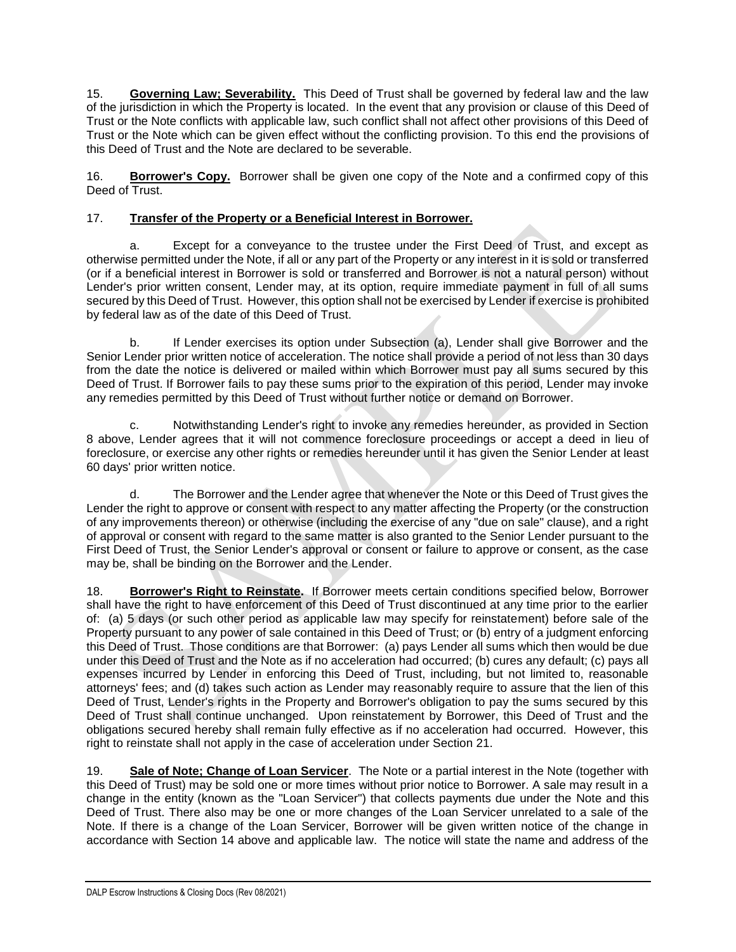15. **Governing Law; Severability.** This Deed of Trust shall be governed by federal law and the law of the jurisdiction in which the Property is located. In the event that any provision or clause of this Deed of Trust or the Note conflicts with applicable law, such conflict shall not affect other provisions of this Deed of Trust or the Note which can be given effect without the conflicting provision. To this end the provisions of this Deed of Trust and the Note are declared to be severable.

16. **Borrower's Copy.** Borrower shall be given one copy of the Note and a confirmed copy of this Deed of Trust.

### 17. **Transfer of the Property or a Beneficial Interest in Borrower.**

a. Except for a conveyance to the trustee under the First Deed of Trust, and except as otherwise permitted under the Note, if all or any part of the Property or any interest in it is sold or transferred (or if a beneficial interest in Borrower is sold or transferred and Borrower is not a natural person) without Lender's prior written consent, Lender may, at its option, require immediate payment in full of all sums secured by this Deed of Trust. However, this option shall not be exercised by Lender if exercise is prohibited by federal law as of the date of this Deed of Trust.

b. If Lender exercises its option under Subsection (a), Lender shall give Borrower and the Senior Lender prior written notice of acceleration. The notice shall provide a period of not less than 30 days from the date the notice is delivered or mailed within which Borrower must pay all sums secured by this Deed of Trust. If Borrower fails to pay these sums prior to the expiration of this period, Lender may invoke any remedies permitted by this Deed of Trust without further notice or demand on Borrower.

c. Notwithstanding Lender's right to invoke any remedies hereunder, as provided in Section 8 above, Lender agrees that it will not commence foreclosure proceedings or accept a deed in lieu of foreclosure, or exercise any other rights or remedies hereunder until it has given the Senior Lender at least 60 days' prior written notice.

d. The Borrower and the Lender agree that whenever the Note or this Deed of Trust gives the Lender the right to approve or consent with respect to any matter affecting the Property (or the construction of any improvements thereon) or otherwise (including the exercise of any "due on sale" clause), and a right of approval or consent with regard to the same matter is also granted to the Senior Lender pursuant to the First Deed of Trust, the Senior Lender's approval or consent or failure to approve or consent, as the case may be, shall be binding on the Borrower and the Lender.

18. **Borrower's Right to Reinstate.** If Borrower meets certain conditions specified below, Borrower shall have the right to have enforcement of this Deed of Trust discontinued at any time prior to the earlier of: (a) 5 days (or such other period as applicable law may specify for reinstatement) before sale of the Property pursuant to any power of sale contained in this Deed of Trust; or (b) entry of a judgment enforcing this Deed of Trust. Those conditions are that Borrower: (a) pays Lender all sums which then would be due under this Deed of Trust and the Note as if no acceleration had occurred; (b) cures any default; (c) pays all expenses incurred by Lender in enforcing this Deed of Trust, including, but not limited to, reasonable attorneys' fees; and (d) takes such action as Lender may reasonably require to assure that the lien of this Deed of Trust, Lender's rights in the Property and Borrower's obligation to pay the sums secured by this Deed of Trust shall continue unchanged. Upon reinstatement by Borrower, this Deed of Trust and the obligations secured hereby shall remain fully effective as if no acceleration had occurred. However, this right to reinstate shall not apply in the case of acceleration under Section 21.

19. **Sale of Note; Change of Loan Servicer**. The Note or a partial interest in the Note (together with this Deed of Trust) may be sold one or more times without prior notice to Borrower. A sale may result in a change in the entity (known as the "Loan Servicer") that collects payments due under the Note and this Deed of Trust. There also may be one or more changes of the Loan Servicer unrelated to a sale of the Note. If there is a change of the Loan Servicer, Borrower will be given written notice of the change in accordance with Section 14 above and applicable law. The notice will state the name and address of the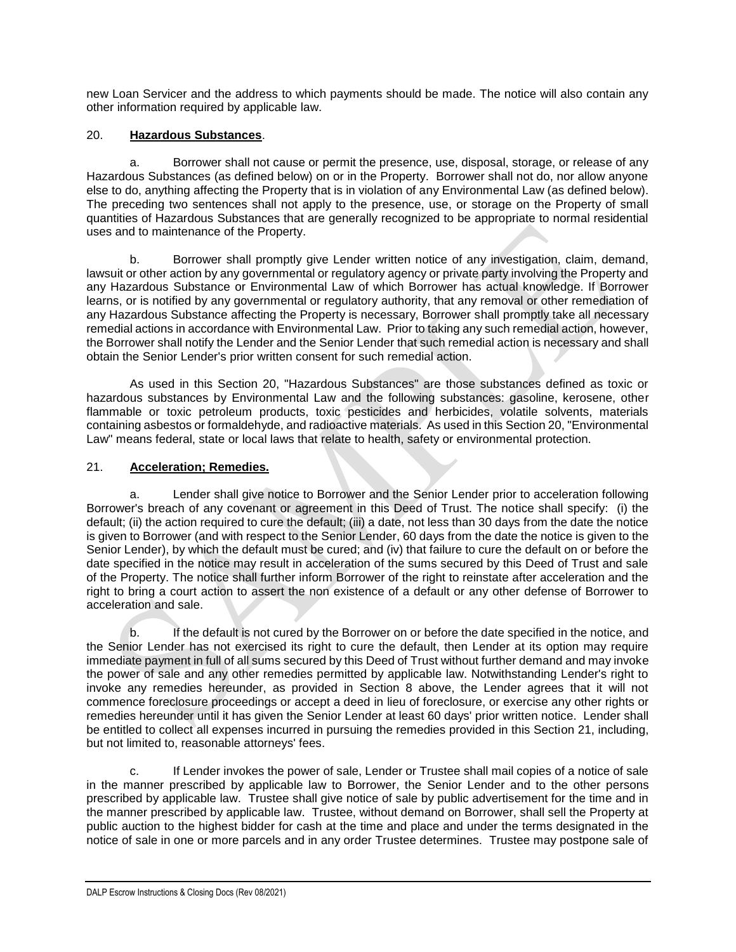new Loan Servicer and the address to which payments should be made. The notice will also contain any other information required by applicable law.

#### 20. **Hazardous Substances**.

a. Borrower shall not cause or permit the presence, use, disposal, storage, or release of any Hazardous Substances (as defined below) on or in the Property. Borrower shall not do, nor allow anyone else to do, anything affecting the Property that is in violation of any Environmental Law (as defined below). The preceding two sentences shall not apply to the presence, use, or storage on the Property of small quantities of Hazardous Substances that are generally recognized to be appropriate to normal residential uses and to maintenance of the Property.

b. Borrower shall promptly give Lender written notice of any investigation, claim, demand, lawsuit or other action by any governmental or regulatory agency or private party involving the Property and any Hazardous Substance or Environmental Law of which Borrower has actual knowledge. If Borrower learns, or is notified by any governmental or regulatory authority, that any removal or other remediation of any Hazardous Substance affecting the Property is necessary, Borrower shall promptly take all necessary remedial actions in accordance with Environmental Law. Prior to taking any such remedial action, however, the Borrower shall notify the Lender and the Senior Lender that such remedial action is necessary and shall obtain the Senior Lender's prior written consent for such remedial action.

As used in this Section 20, "Hazardous Substances" are those substances defined as toxic or hazardous substances by Environmental Law and the following substances: gasoline, kerosene, other flammable or toxic petroleum products, toxic pesticides and herbicides, volatile solvents, materials containing asbestos or formaldehyde, and radioactive materials. As used in this Section 20, "Environmental Law" means federal, state or local laws that relate to health, safety or environmental protection.

#### 21. **Acceleration; Remedies.**

a. Lender shall give notice to Borrower and the Senior Lender prior to acceleration following Borrower's breach of any covenant or agreement in this Deed of Trust. The notice shall specify: (i) the default; (ii) the action required to cure the default; (iii) a date, not less than 30 days from the date the notice is given to Borrower (and with respect to the Senior Lender, 60 days from the date the notice is given to the Senior Lender), by which the default must be cured; and (iv) that failure to cure the default on or before the date specified in the notice may result in acceleration of the sums secured by this Deed of Trust and sale of the Property. The notice shall further inform Borrower of the right to reinstate after acceleration and the right to bring a court action to assert the non existence of a default or any other defense of Borrower to acceleration and sale.

b. If the default is not cured by the Borrower on or before the date specified in the notice, and the Senior Lender has not exercised its right to cure the default, then Lender at its option may require immediate payment in full of all sums secured by this Deed of Trust without further demand and may invoke the power of sale and any other remedies permitted by applicable law. Notwithstanding Lender's right to invoke any remedies hereunder, as provided in Section 8 above, the Lender agrees that it will not commence foreclosure proceedings or accept a deed in lieu of foreclosure, or exercise any other rights or remedies hereunder until it has given the Senior Lender at least 60 days' prior written notice. Lender shall be entitled to collect all expenses incurred in pursuing the remedies provided in this Section 21, including, but not limited to, reasonable attorneys' fees.

c. If Lender invokes the power of sale, Lender or Trustee shall mail copies of a notice of sale in the manner prescribed by applicable law to Borrower, the Senior Lender and to the other persons prescribed by applicable law. Trustee shall give notice of sale by public advertisement for the time and in the manner prescribed by applicable law. Trustee, without demand on Borrower, shall sell the Property at public auction to the highest bidder for cash at the time and place and under the terms designated in the notice of sale in one or more parcels and in any order Trustee determines. Trustee may postpone sale of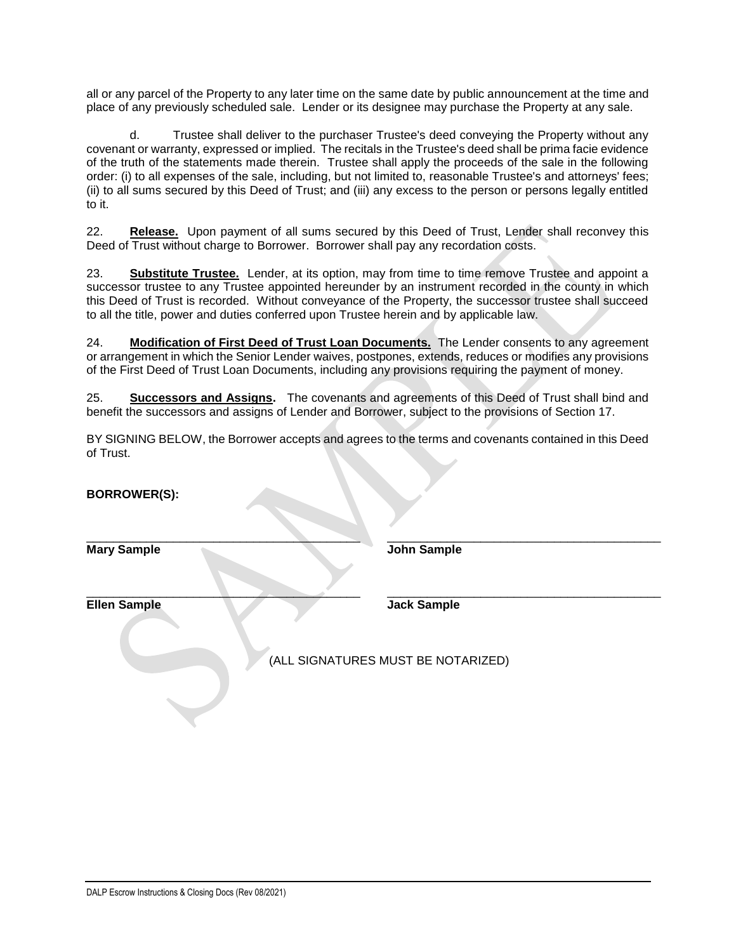all or any parcel of the Property to any later time on the same date by public announcement at the time and place of any previously scheduled sale. Lender or its designee may purchase the Property at any sale.

d. Trustee shall deliver to the purchaser Trustee's deed conveying the Property without any covenant or warranty, expressed or implied. The recitals in the Trustee's deed shall be prima facie evidence of the truth of the statements made therein. Trustee shall apply the proceeds of the sale in the following order: (i) to all expenses of the sale, including, but not limited to, reasonable Trustee's and attorneys' fees; (ii) to all sums secured by this Deed of Trust; and (iii) any excess to the person or persons legally entitled to it.

22. **Release.** Upon payment of all sums secured by this Deed of Trust, Lender shall reconvey this Deed of Trust without charge to Borrower. Borrower shall pay any recordation costs.

23. **Substitute Trustee.** Lender, at its option, may from time to time remove Trustee and appoint a successor trustee to any Trustee appointed hereunder by an instrument recorded in the county in which this Deed of Trust is recorded. Without conveyance of the Property, the successor trustee shall succeed to all the title, power and duties conferred upon Trustee herein and by applicable law.

24. **Modification of First Deed of Trust Loan Documents.** The Lender consents to any agreement or arrangement in which the Senior Lender waives, postpones, extends, reduces or modifies any provisions of the First Deed of Trust Loan Documents, including any provisions requiring the payment of money.

25. **Successors and Assigns.** The covenants and agreements of this Deed of Trust shall bind and benefit the successors and assigns of Lender and Borrower, subject to the provisions of Section 17.

BY SIGNING BELOW, the Borrower accepts and agrees to the terms and covenants contained in this Deed of Trust.

| <b>BORROWER(S):</b> |                                                          |  |
|---------------------|----------------------------------------------------------|--|
| <b>Mary Sample</b>  | <b>John Sample</b>                                       |  |
| <b>Ellen Sample</b> | <b>Jack Sample</b><br>(ALL SIGNATURES MUST BE NOTARIZED) |  |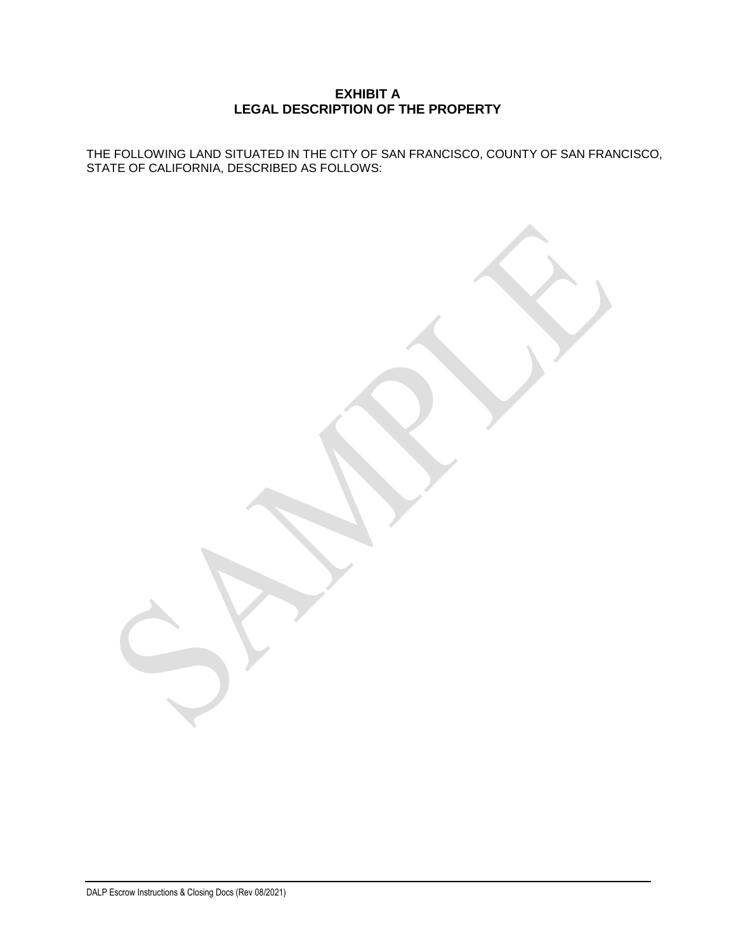#### **EXHIBIT A LEGAL DESCRIPTION OF THE PROPERTY**

THE FOLLOWING LAND SITUATED IN THE CITY OF SAN FRANCISCO, COUNTY OF SAN FRANCISCO, STATE OF CALIFORNIA, DESCRIBED AS FOLLOWS: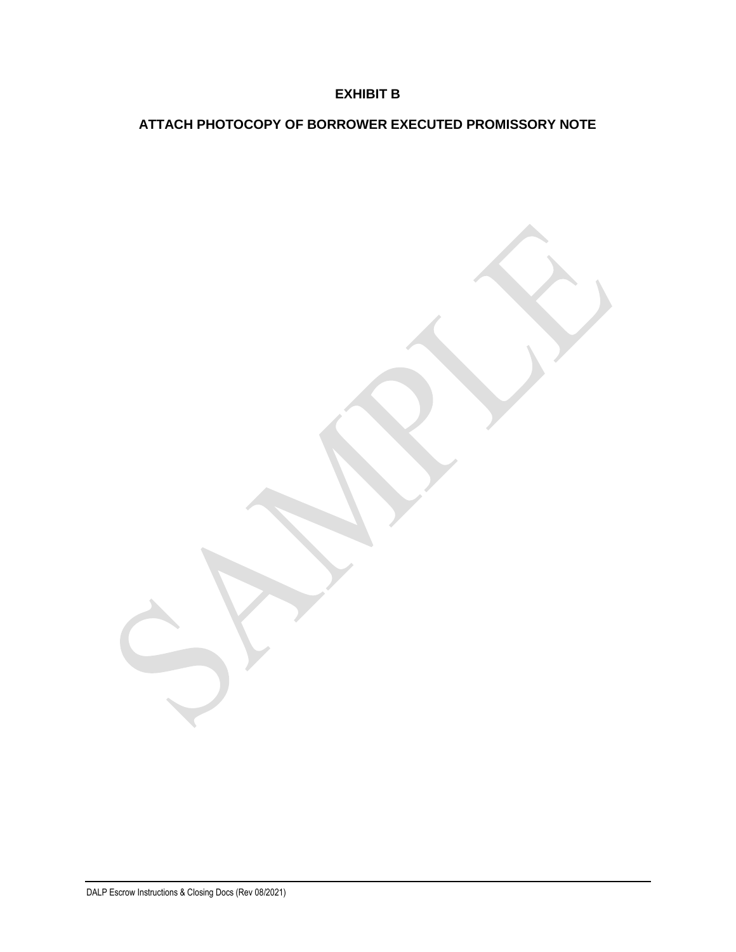# **EXHIBIT B**

# **ATTACH PHOTOCOPY OF BORROWER EXECUTED PROMISSORY NOTE**